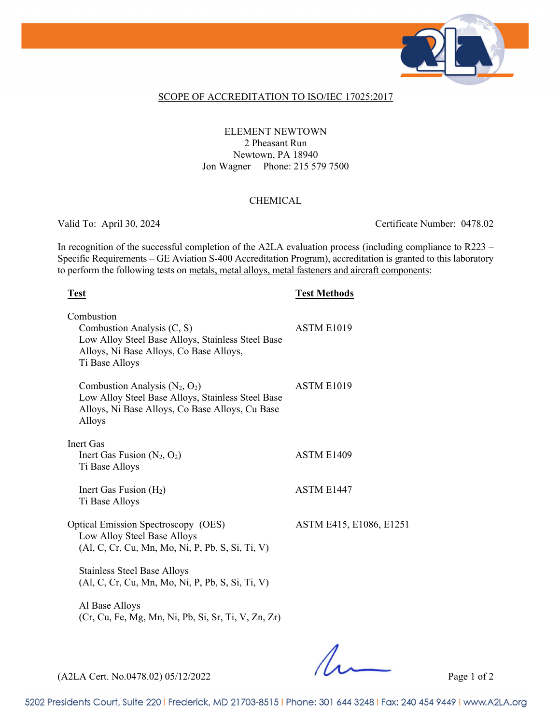

### SCOPE OF ACCREDITATION TO ISO/IEC 17025:2017

## ELEMENT NEWTOWN 2 Pheasant Run Newtown, PA 18940 Jon Wagner Phone: 215 579 7500

### CHEMICAL

Valid To: April 30, 2024 Certificate Number: 0478.02

In recognition of the successful completion of the A2LA evaluation process (including compliance to R223 – Specific Requirements – GE Aviation S-400 Accreditation Program), accreditation is granted to this laboratory to perform the following tests on metals, metal alloys, metal fasteners and aircraft components:

## **Test Test Methods**

| Combustion<br>Combustion Analysis (C, S)<br>Low Alloy Steel Base Alloys, Stainless Steel Base<br>Alloys, Ni Base Alloys, Co Base Alloys,<br>Ti Base Alloys | ASTM E1019              |
|------------------------------------------------------------------------------------------------------------------------------------------------------------|-------------------------|
| Combustion Analysis $(N_2, O_2)$<br>Low Alloy Steel Base Alloys, Stainless Steel Base<br>Alloys, Ni Base Alloys, Co Base Alloys, Cu Base<br>Alloys         | ASTM E1019              |
| Inert Gas                                                                                                                                                  |                         |
| Inert Gas Fusion $(N_2, O_2)$<br>Ti Base Alloys                                                                                                            | ASTM E1409              |
| Inert Gas Fusion $(H2)$<br>Ti Base Alloys                                                                                                                  | ASTM E1447              |
| <b>Optical Emission Spectroscopy (OES)</b><br>Low Alloy Steel Base Alloys<br>(Al, C, Cr, Cu, Mn, Mo, Ni, P, Pb, S, Si, Ti, V)                              | ASTM E415, E1086, E1251 |
| <b>Stainless Steel Base Alloys</b><br>(Al, C, Cr, Cu, Mn, Mo, Ni, P, Pb, S, Si, Ti, V)                                                                     |                         |
| Al Base Alloys<br>(Cr, Cu, Fe, Mg, Mn, Ni, Pb, Si, Sr, Ti, V, Zn, Zr)                                                                                      |                         |

(A2LA Cert. No.0478.02) 05/12/2022 Page 1 of 2

5202 Presidents Court, Suite 220 | Frederick, MD 21703-8515 | Phone: 301 644 3248 | Fax: 240 454 9449 | www.A2LA.org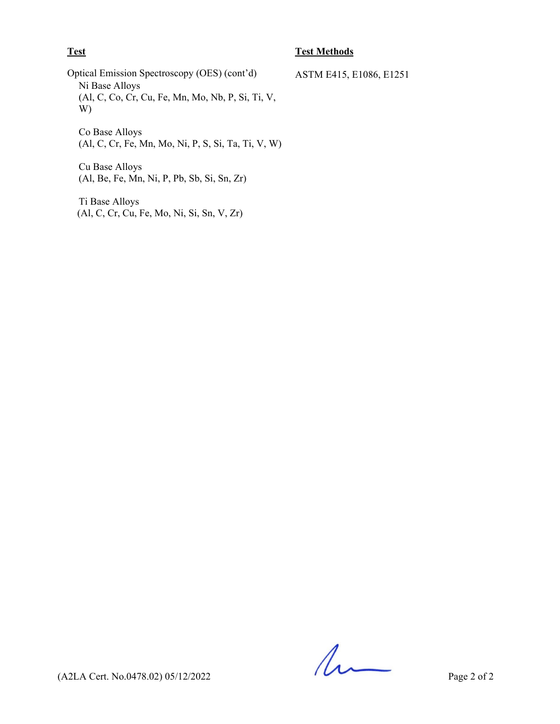## **Test Test Methods**

Optical Emission Spectroscopy (OES) (cont'd) ASTM E415, E1086, E1251 Ni Base Alloys (Al, C, Co, Cr, Cu, Fe, Mn, Mo, Nb, P, Si, Ti, V, W)

Co Base Alloys (Al, C, Cr, Fe, Mn, Mo, Ni, P, S, Si, Ta, Ti, V, W)

Cu Base Alloys (Al, Be, Fe, Mn, Ni, P, Pb, Sb, Si, Sn, Zr)

Ti Base Alloys (Al, C, Cr, Cu, Fe, Mo, Ni, Si, Sn, V, Zr)

 $(42LA$  Cert. No.0478.02) 05/12/2022 Page 2 of 2